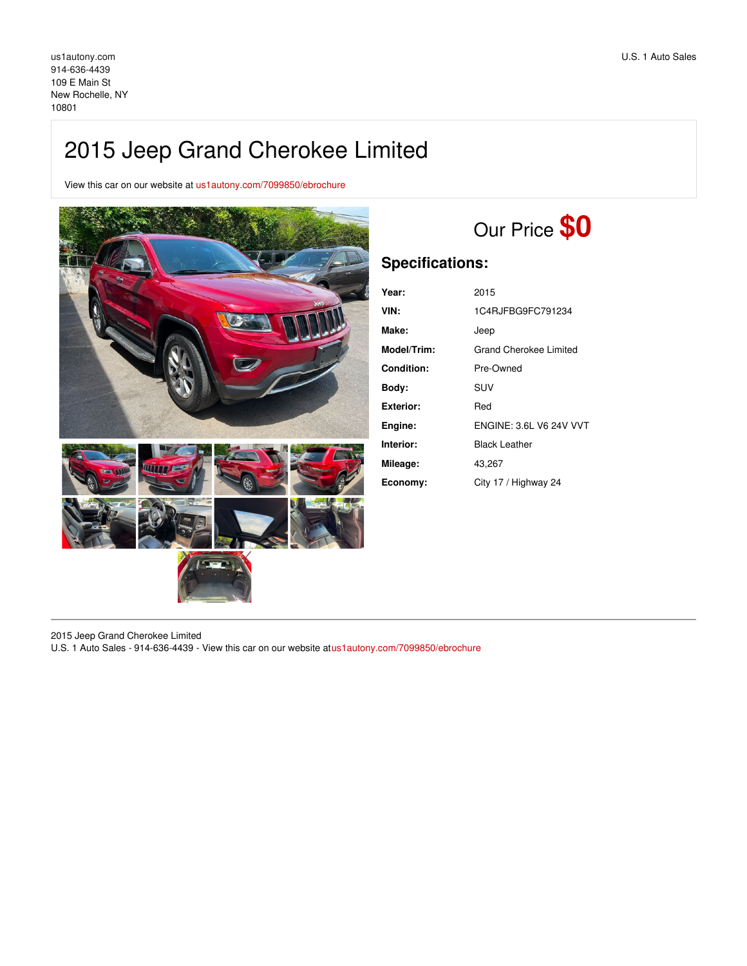# 2015 Jeep Grand Cherokee Limited

View this car on our website at [us1autony.com/7099850/ebrochure](https://us1autony.com/vehicle/7099850/2015-jeep-grand-cherokee-limited-new-rochelle-ny-10801/7099850/ebrochure)



# Our Price **\$0**

# **Specifications:**

| Year:       | 2015                           |
|-------------|--------------------------------|
| VIN:        | 1C4RJFBG9FC791234              |
| Make:       | Jeep                           |
| Model/Trim: | Grand Cherokee Limited         |
| Condition:  | Pre-Owned                      |
| Bodv:       | SUV                            |
| Exterior:   | Red                            |
| Engine:     | <b>ENGINE: 3.6L V6 24V VVT</b> |
| Interior:   | <b>Black Leather</b>           |
| Mileage:    | 43,267                         |
| Economy:    | City 17 / Highway 24           |

2015 Jeep Grand Cherokee Limited

U.S. 1 Auto Sales - 914-636-4439 - View this car on our website at[us1autony.com/7099850/ebrochure](https://us1autony.com/vehicle/7099850/2015-jeep-grand-cherokee-limited-new-rochelle-ny-10801/7099850/ebrochure)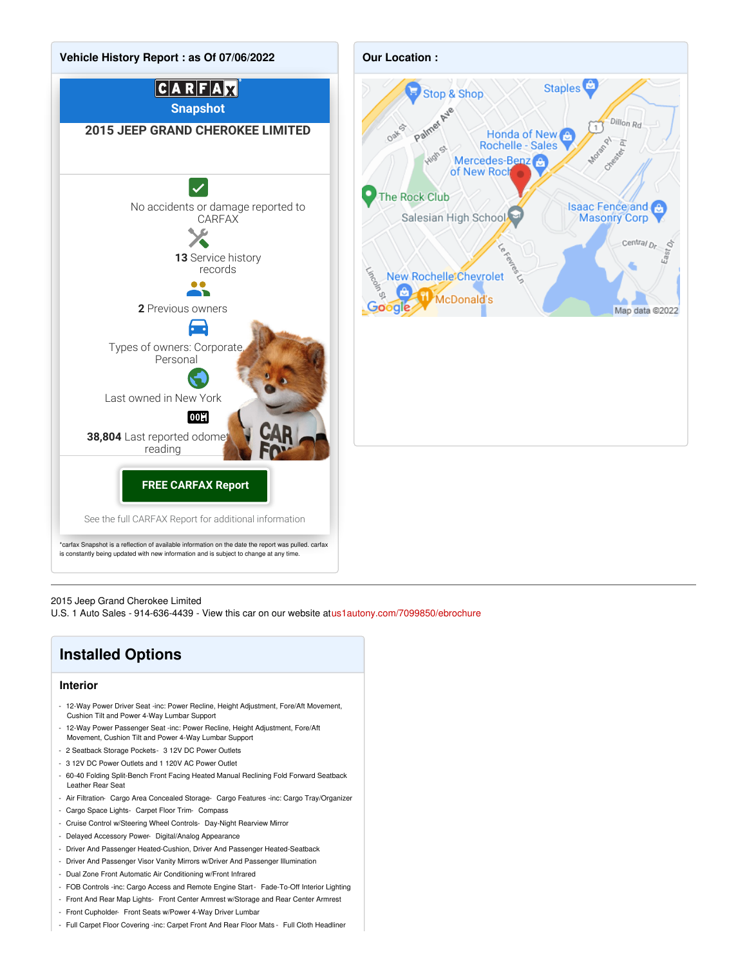

#### 2015 Jeep Grand Cherokee Limited

U.S. 1 Auto Sales - 914-636-4439 - View this car on our website at[us1autony.com/7099850/ebrochure](https://us1autony.com/vehicle/7099850/2015-jeep-grand-cherokee-limited-new-rochelle-ny-10801/7099850/ebrochure)

# **Installed Options**

#### **Interior**

- 12-Way Power Driver Seat -inc: Power Recline, Height Adjustment, Fore/Aft Movement, Cushion Tilt and Power 4-Way Lumbar Support
- 12-Way Power Passenger Seat -inc: Power Recline, Height Adjustment, Fore/Aft Movement, Cushion Tilt and Power 4-Way Lumbar Support
- 2 Seatback Storage Pockets- 3 12V DC Power Outlets
- 3 12V DC Power Outlets and 1 120V AC Power Outlet
- 60-40 Folding Split-Bench Front Facing Heated Manual Reclining Fold Forward Seatback Leather Rear Seat
- Air Filtration- Cargo Area Concealed Storage- Cargo Features -inc: Cargo Tray/Organizer
- Cargo Space Lights- Carpet Floor Trim- Compass
- Cruise Control w/Steering Wheel Controls- Day-Night Rearview Mirror
- Delayed Accessory Power- Digital/Analog Appearance
- Driver And Passenger Heated-Cushion, Driver And Passenger Heated-Seatback
- Driver And Passenger Visor Vanity Mirrors w/Driver And Passenger Illumination
- Dual Zone Front Automatic Air Conditioning w/Front Infrared
- FOB Controls -inc: Cargo Access and Remote Engine Start- Fade-To-Off Interior Lighting
- Front And Rear Map Lights- Front Center Armrest w/Storage and Rear Center Armrest
- Front Cupholder- Front Seats w/Power 4-Way Driver Lumbar
- Full Carpet Floor Covering -inc: Carpet Front And Rear Floor Mats Full Cloth Headliner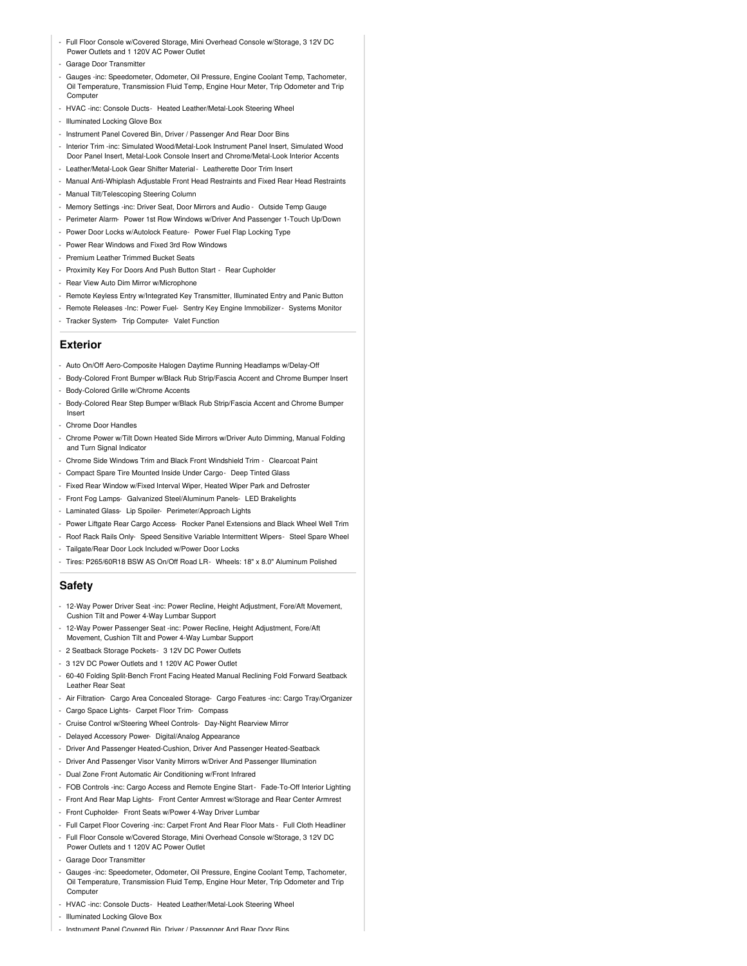- Full Floor Console w/Covered Storage, Mini Overhead Console w/Storage, 3 12V DC Power Outlets and 1 120V AC Power Outlet
- Garage Door Transmitter
- Gauges -inc: Speedometer, Odometer, Oil Pressure, Engine Coolant Temp, Tachometer, Oil Temperature, Transmission Fluid Temp, Engine Hour Meter, Trip Odometer and Trip Computer
- HVAC -inc: Console Ducts- Heated Leather/Metal-Look Steering Wheel
- Illuminated Locking Glove Box
- Instrument Panel Covered Bin, Driver / Passenger And Rear Door Bins
- Interior Trim -inc: Simulated Wood/Metal-Look Instrument Panel Insert, Simulated Wood Door Panel Insert, Metal-Look Console Insert and Chrome/Metal-Look Interior Accents
- Leather/Metal-Look Gear Shifter Material- Leatherette Door Trim Insert
- Manual Anti-Whiplash Adjustable Front Head Restraints and Fixed Rear Head Restraints
- Manual Tilt/Telescoping Steering Column
- Memory Settings -inc: Driver Seat, Door Mirrors and Audio Outside Temp Gauge
- Perimeter Alarm- Power 1st Row Windows w/Driver And Passenger 1-Touch Up/Down
- Power Door Locks w/Autolock Feature- Power Fuel Flap Locking Type
- Power Rear Windows and Fixed 3rd Row Windows
- Premium Leather Trimmed Bucket Seats
- Proximity Key For Doors And Push Button Start Rear Cupholder
- Rear View Auto Dim Mirror w/Microphone
- Remote Keyless Entry w/Integrated Key Transmitter, Illuminated Entry and Panic Button
- Remote Releases -Inc: Power Fuel- Sentry Key Engine Immobilizer- Systems Monitor
- Tracker System- Trip Computer- Valet Function

### **Exterior**

- Auto On/Off Aero-Composite Halogen Daytime Running Headlamps w/Delay-Off
- Body-Colored Front Bumper w/Black Rub Strip/Fascia Accent and Chrome Bumper Insert - Body-Colored Grille w/Chrome Accents
- 
- Body-Colored Rear Step Bumper w/Black Rub Strip/Fascia Accent and Chrome Bumper Insert
- Chrome Door Handles
- Chrome Power w/Tilt Down Heated Side Mirrors w/Driver Auto Dimming, Manual Folding and Turn Signal Indicator
- Chrome Side Windows Trim and Black Front Windshield Trim Clearcoat Paint
- Compact Spare Tire Mounted Inside Under Cargo- Deep Tinted Glass
- Fixed Rear Window w/Fixed Interval Wiper, Heated Wiper Park and Defroster
- Front Fog Lamps- Galvanized Steel/Aluminum Panels- LED Brakelights
- Laminated Glass- Lip Spoiler- Perimeter/Approach Lights
- Power Liftgate Rear Cargo Access- Rocker Panel Extensions and Black Wheel Well Trim
- Roof Rack Rails Only- Speed Sensitive Variable Intermittent Wipers- Steel Spare Wheel
- Tailgate/Rear Door Lock Included w/Power Door Locks
- Tires: P265/60R18 BSW AS On/Off Road LR- Wheels: 18" x 8.0" Aluminum Polished

### **Safety**

- 12-Way Power Driver Seat -inc: Power Recline, Height Adjustment, Fore/Aft Movement, Cushion Tilt and Power 4-Way Lumbar Support
- 12-Way Power Passenger Seat -inc: Power Recline, Height Adjustment, Fore/Aft Movement, Cushion Tilt and Power 4-Way Lumbar Support
- 2 Seatback Storage Pockets- 3 12V DC Power Outlets
- 3 12V DC Power Outlets and 1 120V AC Power Outlet
- 60-40 Folding Split-Bench Front Facing Heated Manual Reclining Fold Forward Seatback Leather Rear Seat
- Air Filtration- Cargo Area Concealed Storage- Cargo Features -inc: Cargo Tray/Organizer
- Cargo Space Lights- Carpet Floor Trim- Compass
- Cruise Control w/Steering Wheel Controls- Day-Night Rearview Mirror
- Delayed Accessory Power- Digital/Analog Appearance
- Driver And Passenger Heated-Cushion, Driver And Passenger Heated-Seatback
- Driver And Passenger Visor Vanity Mirrors w/Driver And Passenger Illumination
- Dual Zone Front Automatic Air Conditioning w/Front Infrared
- FOB Controls -inc: Cargo Access and Remote Engine Start- Fade-To-Off Interior Lighting
- Front And Rear Map Lights- Front Center Armrest w/Storage and Rear Center Armrest
- Front Cupholder- Front Seats w/Power 4-Way Driver Lumbar
- Full Carpet Floor Covering -inc: Carpet Front And Rear Floor Mats Full Cloth Headliner
- Full Floor Console w/Covered Storage, Mini Overhead Console w/Storage, 3 12V DC
- Power Outlets and 1 120V AC Power Outlet - Garage Door Transmitter
- 
- Gauges -inc: Speedometer, Odometer, Oil Pressure, Engine Coolant Temp, Tachometer, Oil Temperature, Transmission Fluid Temp, Engine Hour Meter, Trip Odometer and Trip Computer
- HVAC -inc: Console Ducts- Heated Leather/Metal-Look Steering Wheel
- Illuminated Locking Glove Box
- Instrument Panel Covered Bin, Driver / Passenger And Rear Door Bins